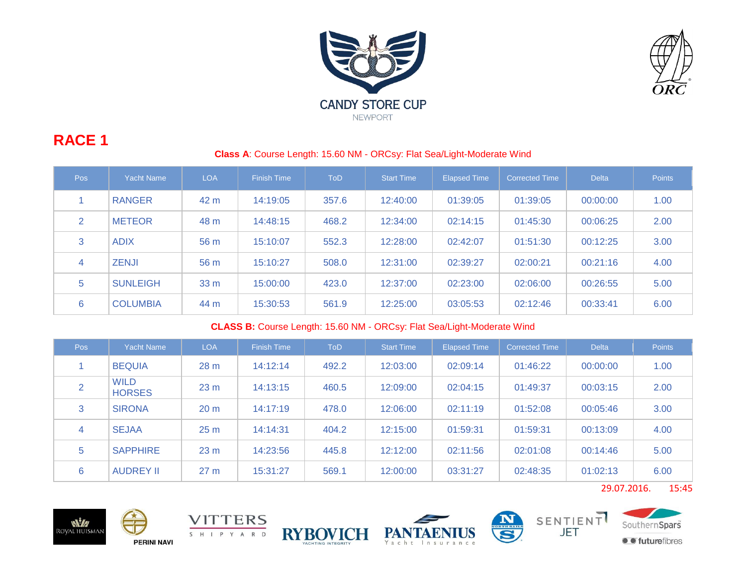



# **RACE 1**

### **Class A**: Course Length: 15.60 NM - ORCsy: Flat Sea/Light-Moderate Wind

| <b>Pos</b> | <b>Yacht Name</b> | <b>LOA</b> | <b>Finish Time</b> | <b>ToD</b> | Start Time | <b>Elapsed Time</b> | <b>Corrected Time</b> | <b>Delta</b> | <b>Points</b> |
|------------|-------------------|------------|--------------------|------------|------------|---------------------|-----------------------|--------------|---------------|
|            | <b>RANGER</b>     | 42 m       | 14:19:05           | 357.6      | 12:40:00   | 01:39:05            | 01:39:05              | 00:00:00     | 1.00          |
| 2          | <b>METEOR</b>     | 48 m       | 14:48:15           | 468.2      | 12:34:00   | 02:14:15            | 01:45:30              | 00:06:25     | 2.00          |
| 3          | <b>ADIX</b>       | 56 m       | 15:10:07           | 552.3      | 12:28:00   | 02:42:07            | 01:51:30              | 00:12:25     | 3.00          |
| 4          | <b>ZENJI</b>      | 56 m       | 15:10:27           | 508.0      | 12:31:00   | 02:39:27            | 02:00:21              | 00:21:16     | 4.00          |
| 5          | <b>SUNLEIGH</b>   | 33 m       | 15:00:00           | 423.0      | 12:37:00   | 02:23:00            | 02:06:00              | 00:26:55     | 5.00          |
| 6          | <b>COLUMBIA</b>   | 44 m       | 15:30:53           | 561.9      | 12:25:00   | 03:05:53            | 02:12:46              | 00:33:41     | 6.00          |

#### **CLASS B:** Course Length: 15.60 NM - ORCsy: Flat Sea/Light-Moderate Wind

| Pos            | <b>Yacht Name</b>            | <b>LOA</b>      | <b>Finish Time</b> | <b>ToD</b> | <b>Start Time</b> | <b>Elapsed Time</b> | <b>Corrected Time</b> | <b>Delta</b> | <b>Points</b> |
|----------------|------------------------------|-----------------|--------------------|------------|-------------------|---------------------|-----------------------|--------------|---------------|
|                | <b>BEQUIA</b>                | 28 <sub>m</sub> | 14:12:14           | 492.2      | 12:03:00          | 02:09:14            | 01:46:22              | 00:00:00     | 1.00          |
| $\overline{2}$ | <b>WILD</b><br><b>HORSES</b> | 23 <sub>m</sub> | 14:13:15           | 460.5      | 12:09:00          | 02:04:15            | 01:49:37              | 00:03:15     | 2.00          |
| 3              | <b>SIRONA</b>                | 20 <sub>m</sub> | 14:17:19           | 478.0      | 12:06:00          | 02:11:19            | 01:52:08              | 00:05:46     | 3.00          |
| 4              | <b>SEJAA</b>                 | 25 <sub>m</sub> | 14:14:31           | 404.2      | 12:15:00          | 01:59:31            | 01:59:31              | 00:13:09     | 4.00          |
| 5              | <b>SAPPHIRE</b>              | 23 <sub>m</sub> | 14:23:56           | 445.8      | 12:12:00          | 02:11:56            | 02:01:08              | 00:14:46     | 5.00          |
| 6              | <b>AUDREY II</b>             | 27 <sub>m</sub> | 15:31:27           | 569.1      | 12:00:00          | 03:31:27            | 02:48:35              | 01:02:13     | 6.00          |

29.07.2016. 15:45













**O** futurefibres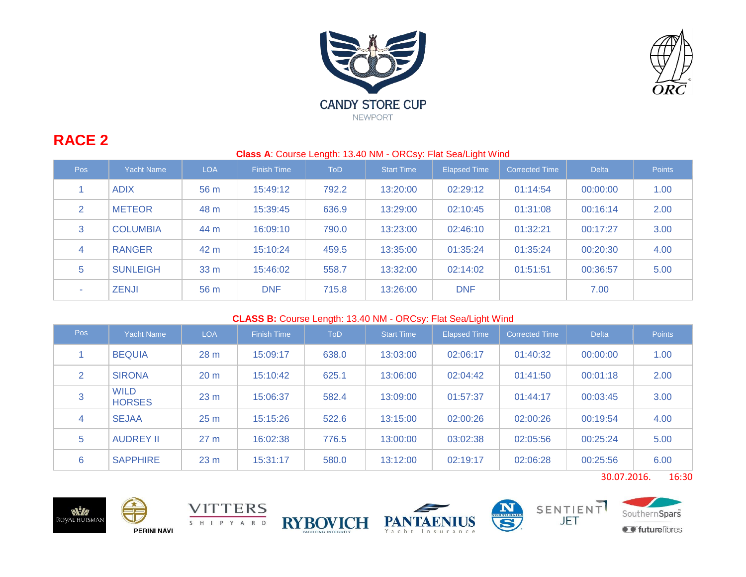



# **RACE 2**

| Pos | <b>Yacht Name</b> | <b>LOA</b> | <b>Finish Time</b> | <b>ToD</b> | <b>Start Time</b> | <b>Elapsed Time</b> | <b>Corrected Time</b> | <b>Delta</b> | <b>Points</b> |
|-----|-------------------|------------|--------------------|------------|-------------------|---------------------|-----------------------|--------------|---------------|
|     | <b>ADIX</b>       | 56 m       | 15:49:12           | 792.2      | 13:20:00          | 02:29:12            | 01:14:54              | 00:00:00     | 1.00          |
| 2   | <b>METEOR</b>     | 48 m       | 15:39:45           | 636.9      | 13:29:00          | 02:10:45            | 01:31:08              | 00:16:14     | 2.00          |
| 3   | <b>COLUMBIA</b>   | 44 m       | 16:09:10           | 790.0      | 13:23:00          | 02:46:10            | 01:32:21              | 00:17:27     | 3.00          |
| 4   | <b>RANGER</b>     | 42 m       | 15:10:24           | 459.5      | 13:35:00          | 01:35:24            | 01:35:24              | 00:20:30     | 4.00          |
| 5   | <b>SUNLEIGH</b>   | 33 m       | 15:46:02           | 558.7      | 13:32:00          | 02:14:02            | 01:51:51              | 00:36:57     | 5.00          |
| ж.  | <b>ZENJI</b>      | 56 m       | <b>DNF</b>         | 715.8      | 13:26:00          | <b>DNF</b>          |                       | 7.00         |               |

## **CLASS B:** Course Length: 13.40 NM - ORCsy: Flat Sea/Light Wind

| Pos | Yacht Name                   | <b>LOA</b>      | <b>Finish Time</b> | <b>ToD</b> | <b>Start Time</b> | <b>Elapsed Time</b> | <b>Corrected Time</b> | <b>Delta</b> | <b>Points</b> |
|-----|------------------------------|-----------------|--------------------|------------|-------------------|---------------------|-----------------------|--------------|---------------|
|     | <b>BEQUIA</b>                | 28 m            | 15:09:17           | 638.0      | 13:03:00          | 02:06:17            | 01:40:32              | 00:00:00     | 1.00          |
| 2   | <b>SIRONA</b>                | 20 <sub>m</sub> | 15:10:42           | 625.1      | 13:06:00          | 02:04:42            | 01:41:50              | 00:01:18     | 2.00          |
| 3   | <b>WILD</b><br><b>HORSES</b> | 23 <sub>m</sub> | 15:06:37           | 582.4      | 13:09:00          | 01:57:37            | 01:44:17              | 00:03:45     | 3.00          |
| 4   | <b>SEJAA</b>                 | 25 <sub>m</sub> | 15:15:26           | 522.6      | 13:15:00          | 02:00:26            | 02:00:26              | 00:19:54     | 4.00          |
| 5   | <b>AUDREY II</b>             | 27 <sub>m</sub> | 16:02:38           | 776.5      | 13:00:00          | 03:02:38            | 02:05:56              | 00:25:24     | 5.00          |
| 6   | <b>SAPPHIRE</b>              | 23 <sub>m</sub> | 15:31:17           | 580.0      | 13:12:00          | 02:19:17            | 02:06:28              | 00:25:56     | 6.00          |

30.07.2016. 16:30











 $\overline{\mathbf{S}}$